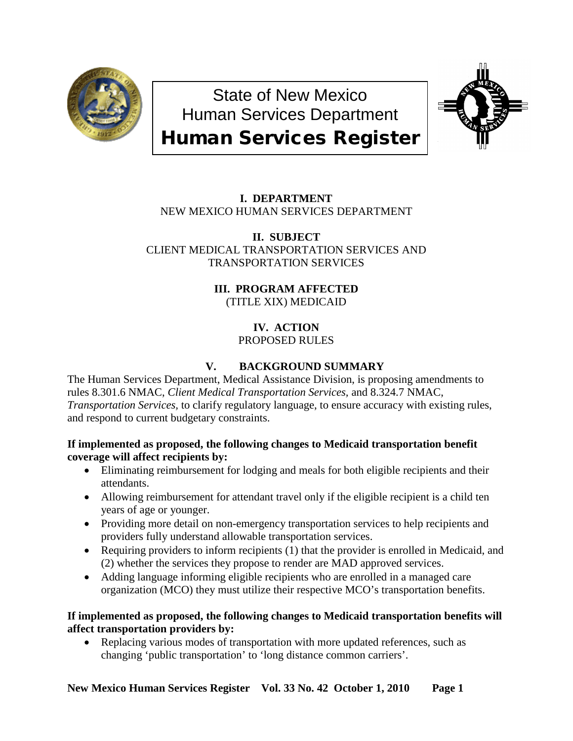

State of New Mexico Human Services Department



# Human Services Register

# **I. DEPARTMENT** NEW MEXICO HUMAN SERVICES DEPARTMENT

**II. SUBJECT** CLIENT MEDICAL TRANSPORTATION SERVICES AND TRANSPORTATION SERVICES

# **III. PROGRAM AFFECTED**

(TITLE XIX) MEDICAID

### **IV. ACTION** PROPOSED RULES

# **V. BACKGROUND SUMMARY**

The Human Services Department, Medical Assistance Division, is proposing amendments to rules 8.301.6 NMAC, *Client Medical Transportation Services,* and 8.324.7 NMAC, *Transportation Services,* to clarify regulatory language, to ensure accuracy with existing rules, and respond to current budgetary constraints.

# **If implemented as proposed, the following changes to Medicaid transportation benefit coverage will affect recipients by:**

- Eliminating reimbursement for lodging and meals for both eligible recipients and their attendants.
- Allowing reimbursement for attendant travel only if the eligible recipient is a child ten years of age or younger.
- Providing more detail on non-emergency transportation services to help recipients and providers fully understand allowable transportation services.
- Requiring providers to inform recipients (1) that the provider is enrolled in Medicaid, and (2) whether the services they propose to render are MAD approved services.
- Adding language informing eligible recipients who are enrolled in a managed care organization (MCO) they must utilize their respective MCO's transportation benefits.

# **If implemented as proposed, the following changes to Medicaid transportation benefits will affect transportation providers by:**

• Replacing various modes of transportation with more updated references, such as changing 'public transportation' to 'long distance common carriers'.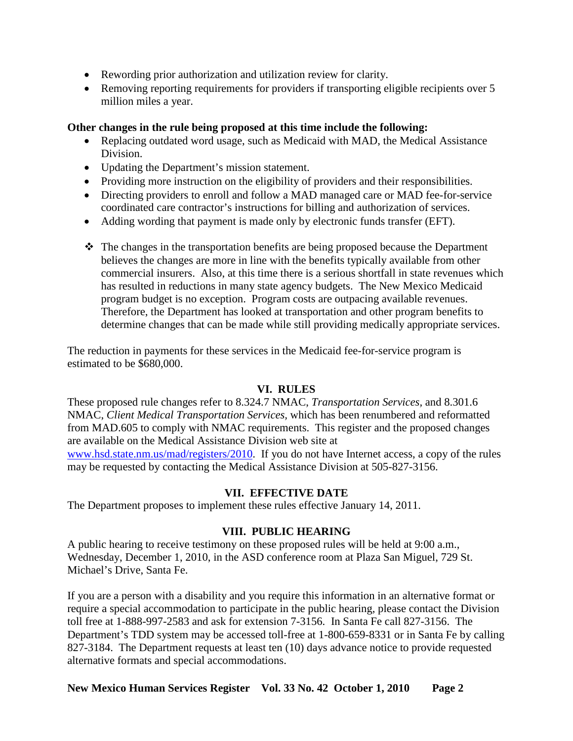- Rewording prior authorization and utilization review for clarity.
- Removing reporting requirements for providers if transporting eligible recipients over 5 million miles a year.

## **Other changes in the rule being proposed at this time include the following:**

- Replacing outdated word usage, such as Medicaid with MAD, the Medical Assistance Division.
- Updating the Department's mission statement.
- Providing more instruction on the eligibility of providers and their responsibilities.
- Directing providers to enroll and follow a MAD managed care or MAD fee-for-service coordinated care contractor's instructions for billing and authorization of services.
- Adding wording that payment is made only by electronic funds transfer (EFT).
- $\hat{\mathbf{v}}$  The changes in the transportation benefits are being proposed because the Department believes the changes are more in line with the benefits typically available from other commercial insurers. Also, at this time there is a serious shortfall in state revenues which has resulted in reductions in many state agency budgets. The New Mexico Medicaid program budget is no exception. Program costs are outpacing available revenues. Therefore, the Department has looked at transportation and other program benefits to determine changes that can be made while still providing medically appropriate services.

The reduction in payments for these services in the Medicaid fee-for-service program is estimated to be \$680,000.

## **VI. RULES**

These proposed rule changes refer to 8.324.7 NMAC, *Transportation Services,* and 8.301.6 NMAC, *Client Medical Transportation Services,* which has been renumbered and reformatted from MAD.605 to comply with NMAC requirements. This register and the proposed changes are available on the Medical Assistance Division web site at [www.hsd.state.nm.us/mad/registers/2010.](http://www.hsd.state.nm.us/mad/registers/2010) If you do not have Internet access, a copy of the rules may be requested by contacting the Medical Assistance Division at 505-827-3156.

## **VII. EFFECTIVE DATE**

The Department proposes to implement these rules effective January 14, 2011.

# **VIII. PUBLIC HEARING**

A public hearing to receive testimony on these proposed rules will be held at 9:00 a.m., Wednesday, December 1, 2010, in the ASD conference room at Plaza San Miguel, 729 St. Michael's Drive, Santa Fe.

If you are a person with a disability and you require this information in an alternative format or require a special accommodation to participate in the public hearing, please contact the Division toll free at 1-888-997-2583 and ask for extension 7-3156. In Santa Fe call 827-3156. The Department's TDD system may be accessed toll-free at 1-800-659-8331 or in Santa Fe by calling 827-3184. The Department requests at least ten (10) days advance notice to provide requested alternative formats and special accommodations.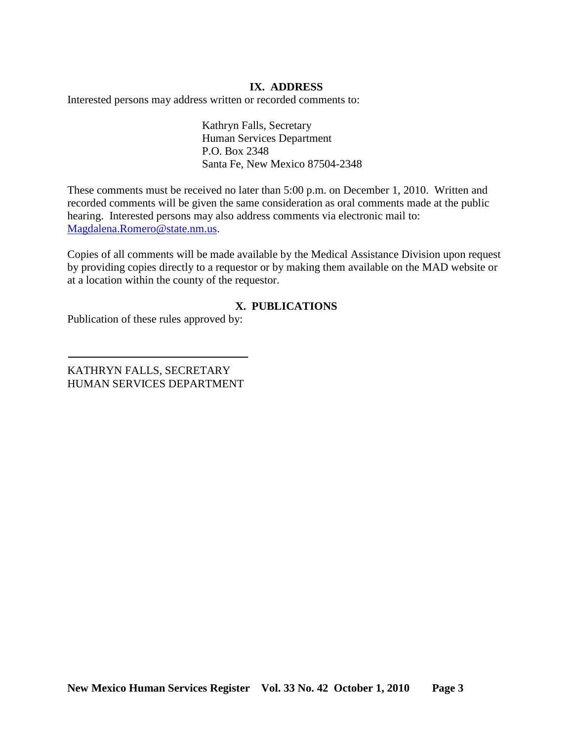### **IX. ADDRESS**

Interested persons may address written or recorded comments to:

Kathryn Falls, Secretary Human Services Department P.O. Box 2348 Santa Fe, New Mexico 87504-2348

These comments must be received no later than 5:00 p.m. on December 1, 2010. Written and recorded comments will be given the same consideration as oral comments made at the public hearing. Interested persons may also address comments via electronic mail to: [Magdalena.Romero@state.nm.us.](mailto:Magdalena.Romero@state.nm.us)

Copies of all comments will be made available by the Medical Assistance Division upon request by providing copies directly to a requestor or by making them available on the MAD website or at a location within the county of the requestor.

## **X. PUBLICATIONS**

Publication of these rules approved by:

KATHRYN FALLS, SECRETARY HUMAN SERVICES DEPARTMENT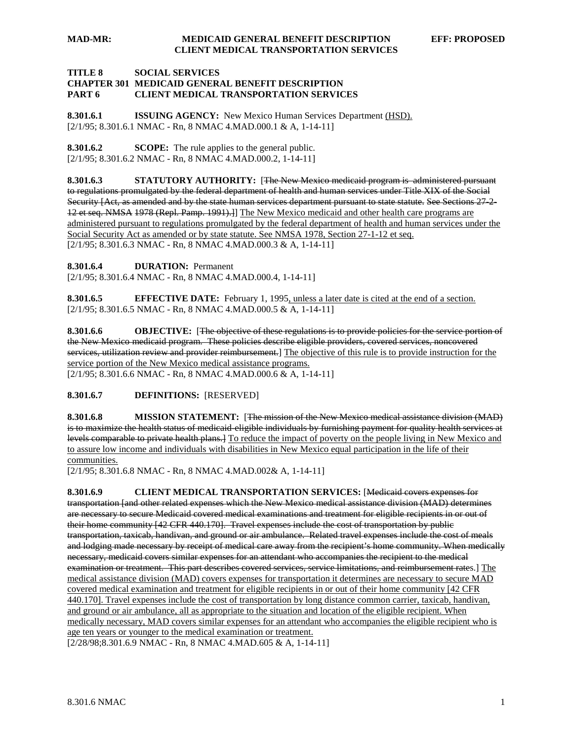#### **TITLE 8 SOCIAL SERVICES CHAPTER 301 MEDICAID GENERAL BENEFIT DESCRIPTION PART 6 CLIENT MEDICAL TRANSPORTATION SERVICES**

**8.301.6.1 ISSUING AGENCY:** New Mexico Human Services Department (HSD). [2/1/95; 8.301.6.1 NMAC - Rn, 8 NMAC 4.MAD.000.1 & A, 1-14-11]

**8.301.6.2 SCOPE:** The rule applies to the general public. [2/1/95; 8.301.6.2 NMAC - Rn, 8 NMAC 4.MAD.000.2, 1-14-11]

**8.301.6.3 STATUTORY AUTHORITY:** [The New Mexico medicaid program is administered pursuant to regulations promulgated by the federal department of health and human services under Title XIX of the Social Security [Act, as amended and by the state human services department pursuant to state statute. See Sections 27-2-12 et seq. NMSA 1978 (Repl. Pamp. 1991).] The New Mexico medicaid and other health care programs are [2/1/95; 8.301.6.3 NMAC - Rn, 8 NMAC 4.MAD.000.3 & A, 1-14-11] administered pursuant to regulations promulgated by the federal department of health and human services under the Social Security Act as amended or by state statute. See NMSA 1978, Section 27-1-12 et seq.

**8.301.6.4 DURATION:** Permanent

[2/1/95; 8.301.6.4 NMAC - Rn, 8 NMAC 4.MAD.000.4, 1-14-11]

**8.301.6.5 EFFECTIVE DATE:** February 1, 1995, unless a later date is cited at the end of a section. [2/1/95; 8.301.6.5 NMAC - Rn, 8 NMAC 4.MAD.000.5 & A, 1-14-11]

**8.301.6.6 OBJECTIVE:** [The objective of these regulations is to provide policies for the service portion of the New Mexico medicaid program. These policies describe eligible providers, covered services, noncovered services, utilization review and provider reimbursement.] The objective of this rule is to provide instruction for the [2/1/95; 8.301.6.6 NMAC - Rn, 8 NMAC 4.MAD.000.6 & A, 1-14-11] service portion of the New Mexico medical assistance programs.

**8.301.6.7 DEFINITIONS:** [RESERVED]

**8.301.6.8 MISSION STATEMENT:** [The mission of the New Mexico medical assistance division (MAD) is to maximize the health status of medicaid eligible individuals by furnishing payment for quality health services at levels comparable to private health plans. To reduce the impact of poverty on the people living in New Mexico and to assure low income and individuals with disabilities in New Mexico equal participation in the life of their communities.

[2/1/95; 8.301.6.8 NMAC - Rn, 8 NMAC 4.MAD.002& A, 1-14-11]

**8.301.6.9 CLIENT MEDICAL TRANSPORTATION SERVICES:** [Medicaid covers expenses for transportation [and other related expenses which the New Mexico medical assistance division (MAD) determines are necessary to secure Medicaid covered medical examinations and treatment for eligible recipients in or out of their home community [42 CFR 440.170]. Travel expenses include the cost of transportation by public transportation, taxicab, handivan, and ground or air ambulance. Related travel expenses include the cost of meals and lodging made necessary by receipt of medical care away from the recipient's home community. When medically necessary, medicaid covers similar expenses for an attendant who accompanies the recipient to the medical examination or treatment. This part describes covered services, service limitations, and reimbursement rates.] <u>The</u> [2/28/98;8.301.6.9 NMAC - Rn, 8 NMAC 4.MAD.605 & A, 1-14-11] medical assistance division (MAD) covers expenses for transportation it determines are necessary to secure MAD covered medical examination and treatment for eligible recipients in or out of their home community [42 CFR 440.170]. Travel expenses include the cost of transportation by long distance common carrier, taxicab, handivan, and ground or air ambulance, all as appropriate to the situation and location of the eligible recipient. When medically necessary, MAD covers similar expenses for an attendant who accompanies the eligible recipient who is age ten years or younger to the medical examination or treatment.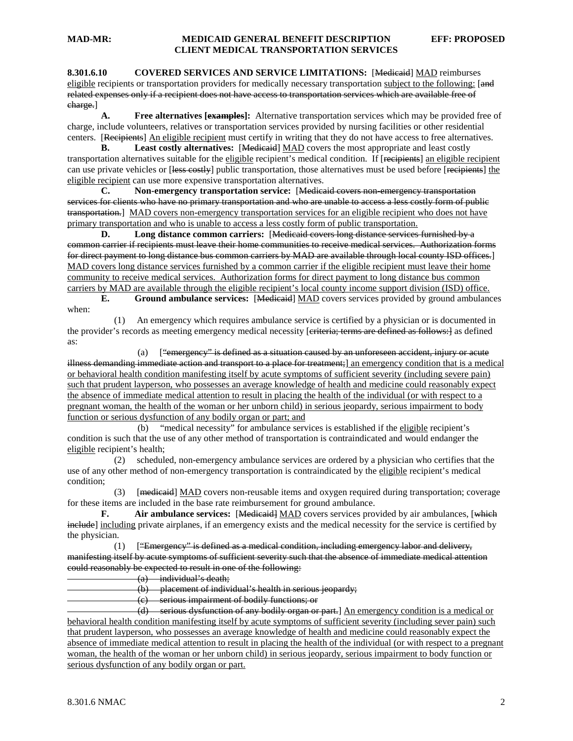#### **MAD-MR: MEDICAID GENERAL BENEFIT DESCRIPTION EFF: PROPOSED CLIENT MEDICAL TRANSPORTATION SERVICES**

**8.301.6.10 COVERED SERVICES AND SERVICE LIMITATIONS:** [Medicaid] MAD reimburses eligible recipients or transportation providers for medically necessary transportation subject to the following: [and related expenses only if a recipient does not have access to transportation services which are available free of charge.]

**A. Free alternatives [examples]:** Alternative transportation services which may be provided free of charge, include volunteers, relatives or transportation services provided by nursing facilities or other residential centers. [Recipients] An eligible recipient must certify in writing that they do not have access to free alternatives.

**B.** Least costly alternatives: [Medicaid] MAD covers the most appropriate and least costly transportation alternatives suitable for the eligible recipient's medical condition. If [recipients] an eligible recipient can use private vehicles or [less costly] public transportation, those alternatives must be used before [recipients] the eligible recipient can use more expensive transportation alternatives.

**C. Non-emergency transportation service:** [Medicaid covers non-emergency transportation services for clients who have no primary transportation and who are unable to access a less costly form of public transportation.] MAD covers non-emergency transportation services for an eligible recipient who does not have primary transportation and who is unable to access a less costly form of public transportation.

**D. Long distance common carriers:** [Medicaid covers long distance services furnished by a common carrier if recipients must leave their home communities to receive medical services. Authorization forms for direct payment to long distance bus common carriers by MAD are available through local county ISD offices.] MAD covers long distance services furnished by a common carrier if the eligible recipient must leave their home community to receive medical services. Authorization forms for direct payment to long distance bus common carriers by MAD are available through the eligible recipient's local county income support division (ISD) office.

**E.** Ground ambulance services: [Medicaid] MAD covers services provided by ground ambulances when:

 (1) An emergency which requires ambulance service is certified by a physician or is documented in the provider's records as meeting emergency medical necessity [criteria; terms are defined as follows:] as defined as:

(a)  $[$  "emergency" is defined as a situation caused by an unforeseen accident, injury or acute illness demanding immediate action and transport to a place for treatment;] an emergency condition that is a medical or behavioral health condition manifesting itself by acute symptoms of sufficient severity (including severe pain) such that prudent layperson, who possesses an average knowledge of health and medicine could reasonably expect the absence of immediate medical attention to result in placing the health of the individual (or with respect to a pregnant woman, the health of the woman or her unborn child) in serious jeopardy, serious impairment to body function or serious dysfunction of any bodily organ or part; and

(b) "medical necessity" for ambulance services is established if the eligible recipient's condition is such that the use of any other method of transportation is contraindicated and would endanger the eligible recipient's health;

 (2) scheduled, non-emergency ambulance services are ordered by a physician who certifies that the use of any other method of non-emergency transportation is contraindicated by the eligible recipient's medical condition;

(3) [medicaid] MAD covers non-reusable items and oxygen required during transportation; coverage for these items are included in the base rate reimbursement for ground ambulance.

**F.** Air ambulance services: [Medicaid] MAD covers services provided by air ambulances, [which include] including private airplanes, if an emergency exists and the medical necessity for the service is certified by the physician.

 $(1)$  ["Emergency" is defined as a medical condition, including emergency labor and delivery, manifesting itself by acute symptoms of sufficient severity such that the absence of immediate medical attention could reasonably be expected to result in one of the following:

 $(a)$  individual's death;

(b) placement of individual's health in serious jeopardy;

(c) serious impairment of bodily functions; or

 (d) serious dysfunction of any bodily organ or part.] An emergency condition is a medical or behavioral health condition manifesting itself by acute symptoms of sufficient severity (including sever pain) such that prudent layperson, who possesses an average knowledge of health and medicine could reasonably expect the absence of immediate medical attention to result in placing the health of the individual (or with respect to a pregnant woman, the health of the woman or her unborn child) in serious jeopardy, serious impairment to body function or serious dysfunction of any bodily organ or part.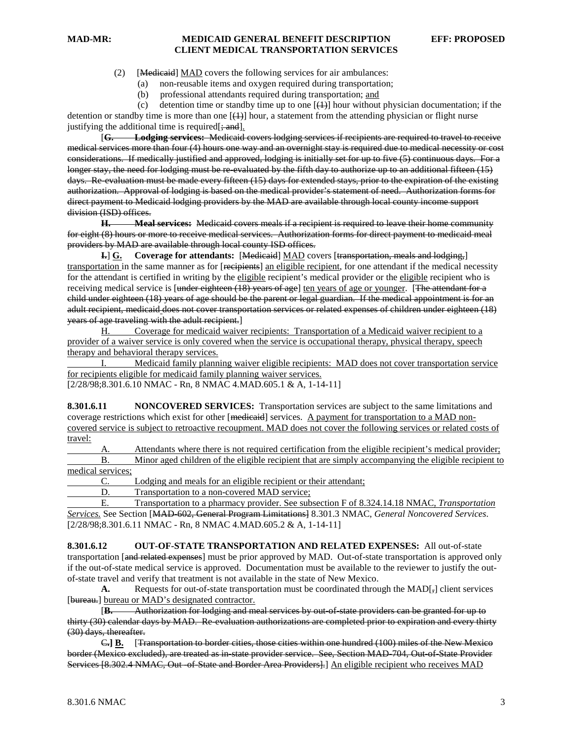#### **MAD-MR: MEDICAID GENERAL BENEFIT DESCRIPTION EFF: PROPOSED CLIENT MEDICAL TRANSPORTATION SERVICES**

(2) [Medicaid] MAD covers the following services for air ambulances:

(a) non-reusable items and oxygen required during transportation;

(b) professional attendants required during transportation; and

(c) detention time or standby time up to one  $[\frac{1}{2}]$  hour without physician documentation; if the detention or standby time is more than one  $[\{+ \} ]$  hour, a statement from the attending physician or flight nurse justifying the additional time is required  $\left[\frac{1}{2}, \frac{1}{2}, \frac{1}{2}\right]$ .

[**G. Lodging services:** Medicaid covers lodging services if recipients are required to travel to receive medical services more than four (4) hours one way and an overnight stay is required due to medical necessity or cost considerations. If medically justified and approved, lodging is initially set for up to five (5) continuous days. For a longer stay, the need for lodging must be re-evaluated by the fifth day to authorize up to an additional fifteen (15) days. Re-evaluation must be made every fifteen (15) days for extended stays, prior to the expiration of the existing authorization. Approval of lodging is based on the medical provider's statement of need. Authorization forms for direct payment to Medicaid lodging providers by the MAD are available through local county income support division (ISD) offices.

**H. Meal services:** Medicaid covers meals if a recipient is required to leave their home community for eight (8) hours or more to receive medical services. Authorization forms for direct payment to medicaid meal providers by MAD are available through local county ISD offices.

**I.**] **G. Coverage for attendants:** [Medicaid] MAD covers [transportation, meals and lodging,] transportation in the same manner as for [recipients] an eligible recipient, for one attendant if the medical necessity for the attendant is certified in writing by the eligible recipient's medical provider or the eligible recipient who is receiving medical service is [under eighteen (18) years of age] ten years of age or younger. [The attendant for a child under eighteen (18) years of age should be the parent or legal guardian. If the medical appointment is for an adult recipient, medicaid does not cover transportation services or related expenses of children under eighteen (18) years of age traveling with the adult recipient.]

H. Coverage for medicaid waiver recipients: Transportation of a Medicaid waiver recipient to a provider of a waiver service is only covered when the service is occupational therapy, physical therapy, speech therapy and behavioral therapy services.

I. Medicaid family planning waiver eligible recipients: MAD does not cover transportation service for recipients eligible for medicaid family planning waiver services.

[2/28/98;8.301.6.10 NMAC - Rn, 8 NMAC 4.MAD.605.1 & A, 1-14-11]

**8.301.6.11 NONCOVERED SERVICES:** Transportation services are subject to the same limitations and coverage restrictions which exist for other [medicaid] services. A payment for transportation to a MAD noncovered service is subject to retroactive recoupment. MAD does not cover the following services or related costs of travel:

Attendants where there is not required certification from the eligible recipient's medical provider; B. Minor aged children of the eligible recipient that are simply accompanying the eligible recipient to

medical services;

C. Lodging and meals for an eligible recipient or their attendant;

D. Transportation to a non-covered MAD service:

E. Transportation to a pharmacy provider. See subsection F of 8.324.14.18 NMAC, *Transportation Services.* See Section [MAD-602, General Program Limitations] 8.301.3 NMAC, *General Noncovered Services*. [2/28/98;8.301.6.11 NMAC - Rn, 8 NMAC 4.MAD.605.2 & A, 1-14-11]

**8.301.6.12 OUT-OF-STATE TRANSPORTATION AND RELATED EXPENSES:** All out-of-state transportation [and related expenses] must be prior approved by MAD. Out-of-state transportation is approved only if the out-of-state medical service is approved. Documentation must be available to the reviewer to justify the outof-state travel and verify that treatment is not available in the state of New Mexico.

A. Requests for out-of-state transportation must be coordinated through the MAD[ $_7$ ] client services [bureau.] bureau or MAD's designated contractor.

[**B.** Authorization for lodging and meal services by out-of-state providers can be granted for up to thirty (30) calendar days by MAD. Re-evaluation authorizations are completed prior to expiration and every thirty (30) days, thereafter.

C**.] B.** [Transportation to border cities, those cities within one hundred (100) miles of the New Mexico border (Mexico excluded), are treated as in-state provider service. See, Section MAD-704, Out-of-State Provider Services [8.302.4 NMAC, Out of State and Border Area Providers].] An eligible recipient who receives MAD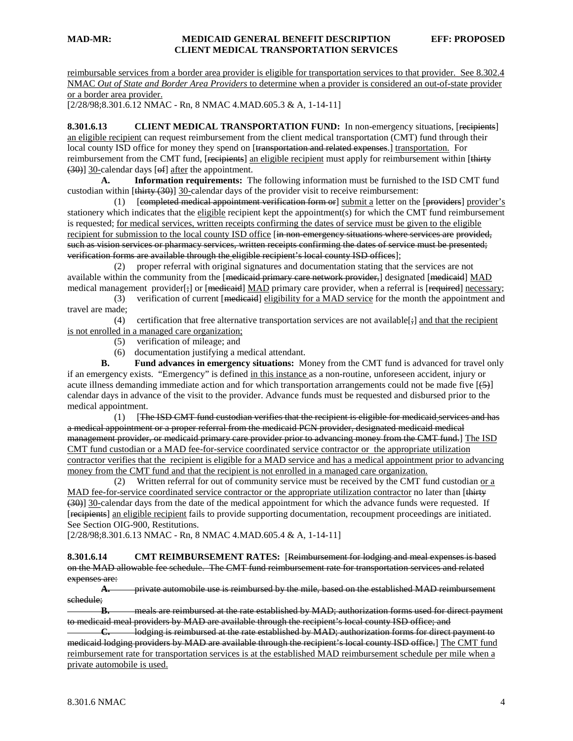reimbursable services from a border area provider is eligible for transportation services to that provider. See 8.302.4 NMAC *Out of State and Border Area Providers* to determine when a provider is considered an out-of-state provider or a border area provider.

[2/28/98;8.301.6.12 NMAC - Rn, 8 NMAC 4.MAD.605.3 & A, 1-14-11]

**8.301.6.13 CLIENT MEDICAL TRANSPORTATION FUND:** In non-emergency situations, [recipients] an eligible recipient can request reimbursement from the client medical transportation (CMT) fund through their local county ISD office for money they spend on [transportation and related expenses.] transportation. For reimbursement from the CMT fund, [recipients] an eligible recipient must apply for reimbursement within [thirty (30)] 30-calendar days [of] after the appointment.

**A. Information requirements:** The following information must be furnished to the ISD CMT fund custodian within [thirty (30)] 30-calendar days of the provider visit to receive reimbursement:

(1) [completed medical appointment verification form or] submit a letter on the [providers] provider's stationery which indicates that the eligible recipient kept the appointment(s) for which the CMT fund reimbursement is requested; for medical services, written receipts confirming the dates of service must be given to the eligible recipient for submission to the local county ISD office [in non-emergency situations where services are provided, such as vision services or pharmacy services, written receipts confirming the dates of service must be presented; verification forms are available through the eligible recipient's local county ISD offices];

 (2) proper referral with original signatures and documentation stating that the services are not available within the community from the [<del>medicaid primary care network provider,</del>] designated [<del>medicaid</del>] MAD medical management provider[<del>;</del>] or [<del>medicaid</del>] MAD primary care provider, when a referral is [<del>required</del>] necessary;

(3) verification of current [medicaid] eligibility for a MAD service for the month the appointment and travel are made;

(4) certification that free alternative transportation services are not available  $[\frac{1}{2}]$  and that the recipient is not enrolled in a managed care organization;

- (5) verification of mileage; and
- (6) documentation justifying a medical attendant.

**B. Fund advances in emergency situations:** Money from the CMT fund is advanced for travel only if an emergency exists. "Emergency" is defined in this instance as a non-routine, unforeseen accident, injury or acute illness demanding immediate action and for which transportation arrangements could not be made five  $[45]$ calendar days in advance of the visit to the provider. Advance funds must be requested and disbursed prior to the medical appointment.

 (1) [The ISD CMT fund custodian verifies that the recipient is eligible for medicaid services and has a medical appointment or a proper referral from the medicaid PCN provider, designated medicaid medical management provider, or medicaid primary care provider prior to advancing money from the CMT fund.] The ISD CMT fund custodian or a MAD fee-for-service coordinated service contractor or the appropriate utilization contractor verifies that the recipient is eligible for a MAD service and has a medical appointment prior to advancing money from the CMT fund and that the recipient is not enrolled in a managed care organization.

(2) Written referral for out of community service must be received by the CMT fund custodian  $or a$ </u> MAD fee-for-service coordinated service contractor or the appropriate utilization contractor no later than [thirty] (30)] 30-calendar days from the date of the medical appointment for which the advance funds were requested. If [recipients] an eligible recipient fails to provide supporting documentation, recoupment proceedings are initiated. See Section OIG-900, Restitutions.

[2/28/98;8.301.6.13 NMAC - Rn, 8 NMAC 4.MAD.605.4 & A, 1-14-11]

**8.301.6.14 CMT REIMBURSEMENT RATES:** [Reimbursement for lodging and meal expenses is based on the MAD allowable fee schedule. The CMT fund reimbursement rate for transportation services and related expenses are:

**A.** private automobile use is reimbursed by the mile, based on the established MAD reimbursement schedule;

**B.** meals are reimbursed at the rate established by MAD; authorization forms used for direct payment to medicaid meal providers by MAD are available through the recipient's local county ISD office; and

**C.** lodging is reimbursed at the rate established by MAD; authorization forms for direct payment to medicaid lodging providers by MAD are available through the recipient's local county ISD office.] The CMT fund reimbursement rate for transportation services is at the established MAD reimbursement schedule per mile when a private automobile is used.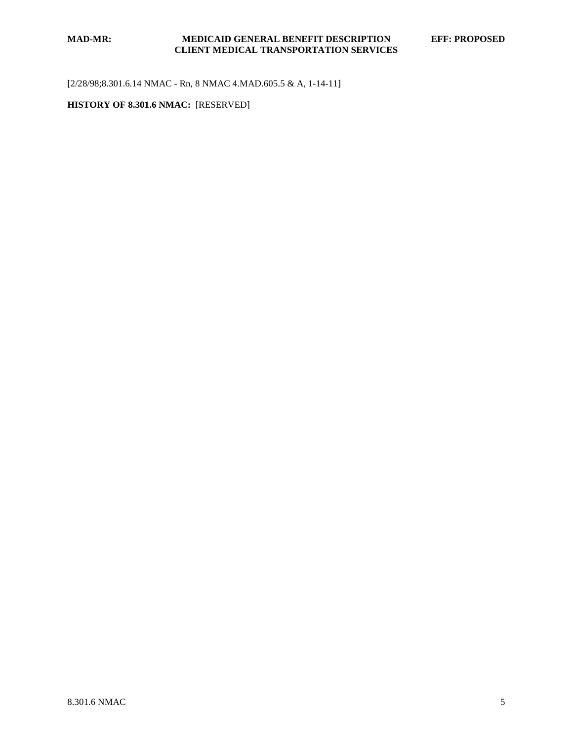[2/28/98;8.301.6.14 NMAC - Rn, 8 NMAC 4.MAD.605.5 & A, 1-14-11]

### **HISTORY OF 8.301.6 NMAC:** [RESERVED]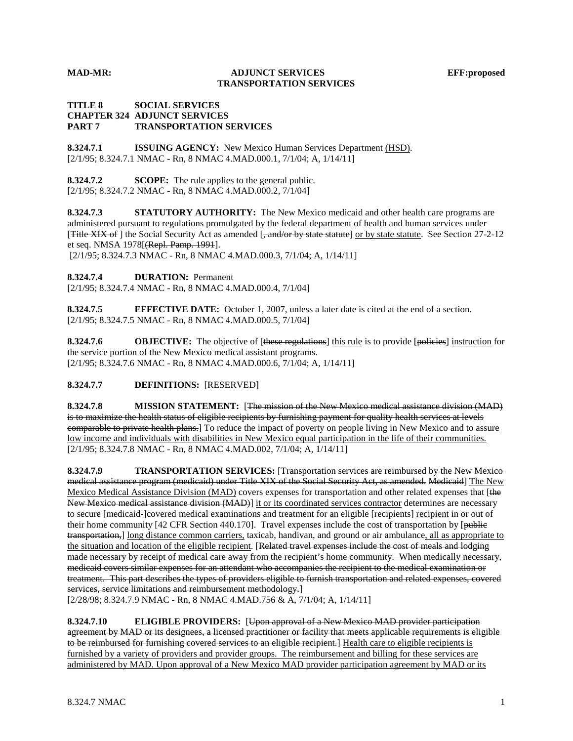#### **MAD-MR: ADJUNCT SERVICES EFF:proposed TRANSPORTATION SERVICES**

#### **TITLE 8 SOCIAL SERVICES CHAPTER 324 ADJUNCT SERVICES PART 7 TRANSPORTATION SERVICES**

**8.324.7.1 ISSUING AGENCY:** New Mexico Human Services Department (HSD). [2/1/95; 8.324.7.1 NMAC - Rn, 8 NMAC 4.MAD.000.1, 7/1/04; A, 1/14/11]

**8.324.7.2 SCOPE:** The rule applies to the general public. [2/1/95; 8.324.7.2 NMAC - Rn, 8 NMAC 4.MAD.000.2, 7/1/04]

**8.324.7.3 STATUTORY AUTHORITY:** The New Mexico medicaid and other health care programs are administered pursuant to regulations promulgated by the federal department of health and human services under [Title XIX of ] the Social Security Act as amended [, and/or by state statute] or by state statute. See Section 27-2-12 et seq. NMSA 1978[(Repl. Pamp. 1991].

[2/1/95; 8.324.7.3 NMAC - Rn, 8 NMAC 4.MAD.000.3, 7/1/04; A, 1/14/11]

**8.324.7.4 DURATION:** Permanent

[2/1/95; 8.324.7.4 NMAC - Rn, 8 NMAC 4.MAD.000.4, 7/1/04]

**8.324.7.5 EFFECTIVE DATE:** October 1, 2007, unless a later date is cited at the end of a section. [2/1/95; 8.324.7.5 NMAC - Rn, 8 NMAC 4.MAD.000.5, 7/1/04]

**8.324.7.6 OBJECTIVE:** The objective of [these regulations] this rule is to provide [policies] instruction for [2/1/95; 8.324.7.6 NMAC - Rn, 8 NMAC 4.MAD.000.6, 7/1/04; A, 1/14/11] the service portion of the New Mexico medical assistant programs.

**8.324.7.7 DEFINITIONS:** [RESERVED]

**8.324.7.8 MISSION STATEMENT:** [The mission of the New Mexico medical assistance division (MAD) is to maximize the health status of eligible recipients by furnishing payment for quality health services at levels comparable to private health plans.] To reduce the impact of poverty on people living in New Mexico and to assure [2/1/95; 8.324.7.8 NMAC - Rn, 8 NMAC 4.MAD.002, 7/1/04; A, 1/14/11] low income and individuals with disabilities in New Mexico equal participation in the life of their communities.

**8.324.7.9 TRANSPORTATION SERVICES:** [Transportation services are reimbursed by the New Mexico medical assistance program (medicaid) under Title XIX of the Social Security Act, as amended. Medicaid] The New Mexico Medical Assistance Division (MAD) covers expenses for transportation and other related expenses that [the New Mexico medical assistance division (MAD)] it or its coordinated services contractor determines are necessary to secure [medicaid-]covered medical examinations and treatment for an eligible [recipients] recipient in or out of their home community [42 CFR Section 440.170]. Travel expenses include the cost of transportation by [public transportation,] long distance common carriers, taxicab, handivan, and ground or air ambulance, all as appropriate to the situation and location of the eligible recipient. [Related travel expenses include the cost of meals and lodging made necessary by receipt of medical care away from the recipient's home community. When medically necessary, medicaid covers similar expenses for an attendant who accompanies the recipient to the medical examination or treatment. This part describes the types of providers eligible to furnish transportation and related expenses, covered services, service limitations and reimbursement methodology.]

[2/28/98; 8.324.7.9 NMAC - Rn, 8 NMAC 4.MAD.756 & A, 7/1/04; A, 1/14/11]

**8.324.7.10 ELIGIBLE PROVIDERS:** [Upon approval of a New Mexico MAD provider participation agreement by MAD or its designees, a licensed practitioner or facility that meets applicable requirements is eligible to be reimbursed for furnishing covered services to an eligible recipient.] Health care to eligible recipients is furnished by a variety of providers and provider groups. The reimbursement and billing for these services are administered by MAD. Upon approval of a New Mexico MAD provider participation agreement by MAD or its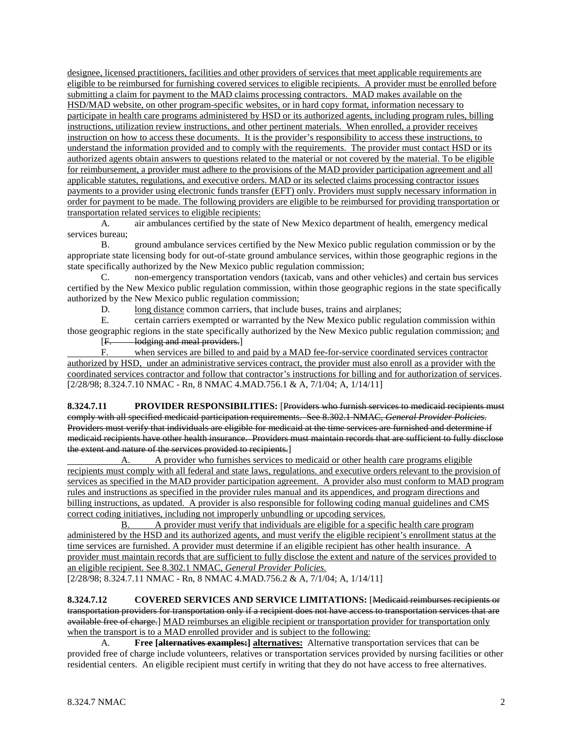designee, licensed practitioners, facilities and other providers of services that meet applicable requirements are eligible to be reimbursed for furnishing covered services to eligible recipients. A provider must be enrolled before submitting a claim for payment to the MAD claims processing contractors. MAD makes available on the HSD/MAD website, on other program-specific websites, or in hard copy format, information necessary to participate in health care programs administered by HSD or its authorized agents, including program rules, billing instructions, utilization review instructions, and other pertinent materials. When enrolled, a provider receives instruction on how to access these documents. It is the provider's responsibility to access these instructions, to understand the information provided and to comply with the requirements. The provider must contact HSD or its authorized agents obtain answers to questions related to the material or not covered by the material. To be eligible for reimbursement, a provider must adhere to the provisions of the MAD provider participation agreement and all applicable statutes, regulations, and executive orders. MAD or its selected claims processing contractor issues payments to a provider using electronic funds transfer (EFT) only. Providers must supply necessary information in order for payment to be made. The following providers are eligible to be reimbursed for providing transportation or transportation related services to eligible recipients:

A. air ambulances certified by the state of New Mexico department of health, emergency medical services bureau;

B. ground ambulance services certified by the New Mexico public regulation commission or by the appropriate state licensing body for out-of-state ground ambulance services, within those geographic regions in the state specifically authorized by the New Mexico public regulation commission;

C. non-emergency transportation vendors (taxicab, vans and other vehicles) and certain bus services certified by the New Mexico public regulation commission, within those geographic regions in the state specifically authorized by the New Mexico public regulation commission;

D. long distance common carriers, that include buses, trains and airplanes;

E. certain carriers exempted or warranted by the New Mexico public regulation commission within those geographic regions in the state specifically authorized by the New Mexico public regulation commission; and

[F. lodging and meal providers.]

F. when services are billed to and paid by a MAD fee-for-service coordinated services contractor authorized by HSD, under an administrative services contract, the provider must also enroll as a provider with the coordinated services contractor and follow that contractor's instructions for billing and for authorization of services . [2/28/98; 8.324.7.10 NMAC - Rn, 8 NMAC 4.MAD.756.1 & A, 7/1/04; A, 1/14/11]

**8.324.7.11 PROVIDER RESPONSIBILITIES:** [Providers who furnish services to medicaid recipients must comply with all specified medicaid participation requirements. See 8.302.1 NMAC, *General Provider Policies*. Providers must verify that individuals are eligible for medicaid at the time services are furnished and determine if medicaid recipients have other health insurance. Providers must maintain records that are sufficient to fully disclose the extent and nature of the services provided to recipients.]

A. A provider who furnishes services to medicaid or other health care programs eligible recipients must comply with all federal and state laws, regulations. and executive orders relevant to the provision of services as specified in the MAD provider participation agreement. A provider also must conform to MAD program rules and instructions as specified in the provider rules manual and its appendices, and program directions and billing instructions, as updated. A provider is also responsible for following coding manual guidelines and CMS correct coding initiatives, including not improperly unbundling or upcoding services.

B. A provider must verify that individuals are eligible for a specific health care program administered by the HSD and its authorized agents, and must verify the eligible recipient's enrollment status at the time services are furnished. A provider must determine if an eligible recipient has other health insurance. A provider must maintain records that are sufficient to fully disclose the extent and nature of the services provided to an eligible recipient. See 8.302.1 NMAC, *General Provider Policies.*

[2/28/98; 8.324.7.11 NMAC - Rn, 8 NMAC 4.MAD.756.2 & A, 7/1/04; A, 1/14/11]

**8.324.7.12 COVERED SERVICES AND SERVICE LIMITATIONS:** [Medicaid reimburses recipients or transportation providers for transportation only if a recipient does not have access to transportation services that are available free of charge.] MAD reimburses an eligible recipient or transportation provider for transportation only when the transport is to a MAD enrolled provider and is subject to the following:

A. **Free** [alternatives examples:] alternatives: Alternative transportation services that can be provided free of charge include volunteers, relatives or transportation services provided by nursing facilities or other residential centers. An eligible recipient must certify in writing that they do not have access to free alternatives.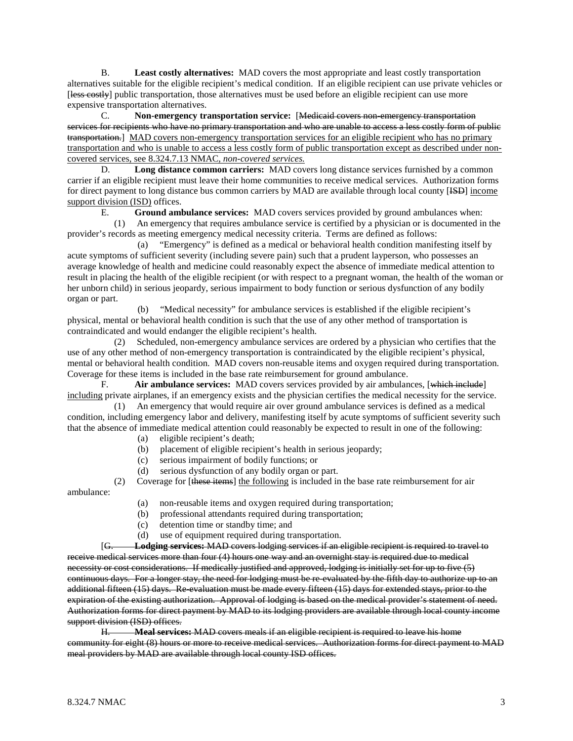B. **Least costly alternatives:** MAD covers the most appropriate and least costly transportation alternatives suitable for the eligible recipient's medical condition. If an eligible recipient can use private vehicles or [less costly] public transportation, those alternatives must be used before an eligible recipient can use more expensive transportation alternatives.

C. **Non-emergency transportation service:** [Medicaid covers non-emergency transportation services for recipients who have no primary transportation and who are unable to access a less costly form of public transportation.] MAD covers non-emergency transportation services for an eligible recipient who has no primary transportation and who is unable to access a less costly form of public transportation except as described under noncovered services, see 8.324.7.13 NMAC, *non-covered services.*

D. **Long distance common carriers:** MAD covers long distance services furnished by a common carrier if an eligible recipient must leave their home communities to receive medical services. Authorization forms for direct payment to long distance bus common carriers by MAD are available through local county [ISD] income support division (ISD) offices.

E. **Ground ambulance services:** MAD covers services provided by ground ambulances when:

 (1) An emergency that requires ambulance service is certified by a physician or is documented in the provider's records as meeting emergency medical necessity criteria. Terms are defined as follows:

 (a) "Emergency" is defined as a medical or behavioral health condition manifesting itself by acute symptoms of sufficient severity (including severe pain) such that a prudent layperson, who possesses an average knowledge of health and medicine could reasonably expect the absence of immediate medical attention to result in placing the health of the eligible recipient (or with respect to a pregnant woman, the health of the woman or her unborn child) in serious jeopardy, serious impairment to body function or serious dysfunction of any bodily organ or part.

 (b) "Medical necessity" for ambulance services is established if the eligible recipient's physical, mental or behavioral health condition is such that the use of any other method of transportation is contraindicated and would endanger the eligible recipient's health.

 (2) Scheduled, non-emergency ambulance services are ordered by a physician who certifies that the use of any other method of non-emergency transportation is contraindicated by the eligible recipient's physical, mental or behavioral health condition. MAD covers non-reusable items and oxygen required during transportation. Coverage for these items is included in the base rate reimbursement for ground ambulance.

F. **Air ambulance services:** MAD covers services provided by air ambulances, [which include] including private airplanes, if an emergency exists and the physician certifies the medical necessity for the service.

 (1) An emergency that would require air over ground ambulance services is defined as a medical condition, including emergency labor and delivery, manifesting itself by acute symptoms of sufficient severity such that the absence of immediate medical attention could reasonably be expected to result in one of the following:

- (a) eligible recipient's death;
- (b) placement of eligible recipient's health in serious jeopardy;
- (c) serious impairment of bodily functions; or
- (d) serious dysfunction of any bodily organ or part.

(2) Coverage for [these items] the following is included in the base rate reimbursement for air ambulance:

- (a) non-reusable items and oxygen required during transportation;
- (b) professional attendants required during transportation;
- (c) detention time or standby time; and
- (d) use of equipment required during transportation.

[G. **Lodging services:** MAD covers lodging services if an eligible recipient is required to travel to receive medical services more than four (4) hours one way and an overnight stay is required due to medical necessity or cost considerations. If medically justified and approved, lodging is initially set for up to five (5) continuous days. For a longer stay, the need for lodging must be re-evaluated by the fifth day to authorize up to an additional fifteen (15) days. Re-evaluation must be made every fifteen (15) days for extended stays, prior to the expiration of the existing authorization. Approval of lodging is based on the medical provider's statement of need. Authorization forms for direct payment by MAD to its lodging providers are available through local county income support division (ISD) offices.<br>H Meal service

H. **Meal services:** MAD covers meals if an eligible recipient is required to leave his home community for eight (8) hours or more to receive medical services. Authorization forms for direct payment to MAD meal providers by MAD are available through local county ISD offices.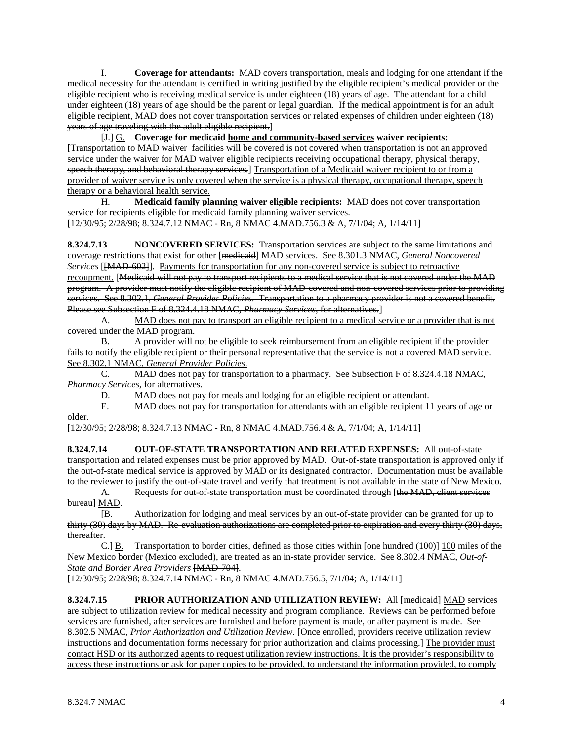I. **Coverage for attendants:** MAD covers transportation, meals and lodging for one attendant if the medical necessity for the attendant is certified in writing justified by the eligible recipient's medical provider or the eligible recipient who is receiving medical service is under eighteen (18) years of age. The attendant for a child under eighteen (18) years of age should be the parent or legal guardian. If the medical appointment is for an adult eligible recipient, MAD does not cover transportation services or related expenses of children under eighteen (18) years of age traveling with the adult eligible recipient.]

[J.] G. **Coverage for medicaid home and community-based services waiver recipients: [**Transportation to MAD waiver facilities will be covered is not covered when transportation is not an approved service under the waiver for MAD waiver eligible recipients receiving occupational therapy, physical therapy, speech therapy, and behavioral therapy services.] Transportation of a Medicaid waiver recipient to or from a provider of waiver service is only covered when the service is a physical therapy, occupational therapy, speech therapy or a behavioral health service.

[12/30/95; 2/28/98; 8.324.7.12 NMAC - Rn, 8 NMAC 4.MAD.756.3 & A, 7/1/04; A, 1/14/11] H. **Medicaid family planning waiver eligible recipients:** MAD does not cover transportation service for recipients eligible for medicaid family planning waiver services.

**8.324.7.13 NONCOVERED SERVICES:** Transportation services are subject to the same limitations and coverage restrictions that exist for other [medicaid] MAD services. See 8.301.3 NMAC, *General Noncovered Services* [[MAD-602]]. Payments for transportation for any non-covered service is subject to retroactive recoupment. [Medicaid will not pay to transport recipients to a medical service that is not covered under the MAD program. A provider must notify the eligible recipient of MAD-covered and non-covered services prior to providing services. See 8.302.1, *General Provider Policies*. Transportation to a pharmacy provider is not a covered benefit. Please see Subsection F of 8.324.4.18 NMAC, *Pharmacy Services*, for alternatives.]

A. MAD does not pay to transport an eligible recipient to a medical service or a provider that is not covered under the MAD program.

B. A provider will not be eligible to seek reimbursement from an eligible recipient if the provider fails to notify the eligible recipient or their personal representative that the service is not a covered MAD service. See 8.302.1 NMAC, *General Provider Policies*.

C. MAD does not pay for transportation to a pharmacy. See Subsection F of 8.324.4.18 NMAC, *Pharmacy Services*, for alternatives.

D. MAD does not pay for meals and lodging for an eligible recipient or attendant.<br>E. MAD does not pay for transportation for attendants with an eligible recipient 1

MAD does not pay for transportation for attendants with an eligible recipient 11 years of age or older.

[12/30/95; 2/28/98; 8.324.7.13 NMAC - Rn, 8 NMAC 4.MAD.756.4 & A, 7/1/04; A, 1/14/11]

**8.324.7.14 OUT-OF-STATE TRANSPORTATION AND RELATED EXPENSES:** All out-of-state transportation and related expenses must be prior approved by MAD. Out-of-state transportation is approved only if the out-of-state medical service is approved by MAD or its designated contractor. Documentation must be available to the reviewer to justify the out-of-state travel and verify that treatment is not available in the state of New Mexico.

A. Requests for out-of-state transportation must be coordinated through [the MAD, client services bureau] <u>MAD</u>.

[B. Authorization for lodging and meal services by an out-of-state provider can be granted for up to thirty (30) days by MAD. Re-evaluation authorizations are completed prior to expiration and every thirty (30) days, thereafter.

 $\leftarrow$  B. Transportation to border cities, defined as those cities within [one hundred (100)] 100 miles of the New Mexico border (Mexico excluded), are treated as an in-state provider service. See 8.302.4 NMAC, *Out-of-State and Border Area Providers* [MAD-704].

[12/30/95; 2/28/98; 8.324.7.14 NMAC - Rn, 8 NMAC 4.MAD.756.5, 7/1/04; A, 1/14/11]

**8.324.7.15 PRIOR AUTHORIZATION AND UTILIZATION REVIEW:** All [medicaid] MAD services are subject to utilization review for medical necessity and program compliance. Reviews can be performed before services are furnished, after services are furnished and before payment is made, or after payment is made. See 8.302.5 NMAC, *Prior Authorization and Utilization Review*. [Once enrolled, providers receive utilization review instructions and documentation forms necessary for prior authorization and claims processing.] The provider must contact HSD or its authorized agents to request utilization review instructions. It is the provider's responsibility to access these instructions or ask for paper copies to be provided, to understand the information provided, to comply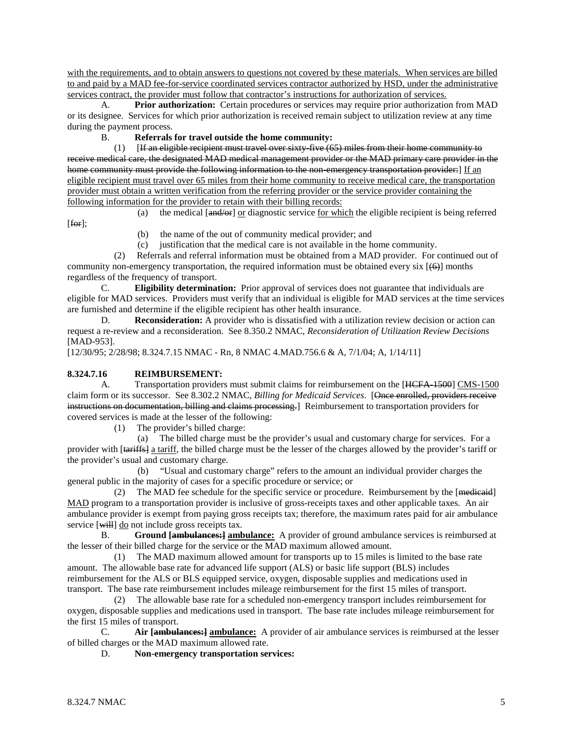with the requirements, and to obtain answers to questions not covered by these materials. When services are billed to and paid by a MAD fee-for-service coordinated services contractor authorized by HSD, under the administrative services contract, the provider must follow that contractor's instructions for authorization of services.

A. **Prior authorization:** Certain procedures or services may require prior authorization from MAD or its designee. Services for which prior authorization is received remain subject to utilization review at any time during the payment process.

B. **Referrals for travel outside the home community:**

 $[$ If an eligible recipient must travel over sixty-five  $(65)$  miles from their home community to receive medical care, the designated MAD medical management provider or the MAD primary care provider in the home community must provide the following information to the non-emergency transportation provider:] If  $\text{an}$ eligible recipient must travel over 65 miles from their home community to receive medical care, the transportation provider must obtain a written verification from the referring provider or the service provider containing the following information for the provider to retain with their billing records:

[for];

- (a) the medical  $[and/or]$  or diagnostic service <u>for which</u> the eligible recipient is being referred
	- (b) the name of the out of community medical provider; and
	- (c) justification that the medical care is not available in the home community.

 (2) Referrals and referral information must be obtained from a MAD provider. For continued out of community non-emergency transportation, the required information must be obtained every six  $[66]$  months regardless of the frequency of transport.

C. **Eligibility determination:** Prior approval of services does not guarantee that individuals are eligible for MAD services. Providers must verify that an individual is eligible for MAD services at the time services are furnished and determine if the eligible recipient has other health insurance.

D. **Reconsideration:** A provider who is dissatisfied with a utilization review decision or action can request a re-review and a reconsideration. See 8.350.2 NMAC, *Reconsideration of Utilization Review Decisions* [MAD-953].

[12/30/95; 2/28/98; 8.324.7.15 NMAC - Rn, 8 NMAC 4.MAD.756.6 & A, 7/1/04; A, 1/14/11]

#### **8.324.7.16 REIMBURSEMENT:**

A. Transportation providers must submit claims for reimbursement on the [HCFA-1500] CMS-1500 claim form or its successor. See 8.302.2 NMAC, *Billing for Medicaid Services*. [Once enrolled, providers receive instructions on documentation, billing and claims processing.] Reimbursement to transportation providers for covered services is made at the lesser of the following:

(1) The provider's billed charge:

 (a) The billed charge must be the provider's usual and customary charge for services. For a provider with [tariffs] a tariff, the billed charge must be the lesser of the charges allowed by the provider's tariff or the provider's usual and customary charge.

 (b) "Usual and customary charge" refers to the amount an individual provider charges the general public in the majority of cases for a specific procedure or service; or

(2) The MAD fee schedule for the specific service or procedure. Reimbursement by the [medicaid] MAD program to a transportation provider is inclusive of gross-receipts taxes and other applicable taxes. An air ambulance provider is exempt from paying gross receipts tax; therefore, the maximum rates paid for air ambulance service [will] do not include gross receipts tax.

B. Ground [**ambulances**: **]** ambulance: A provider of ground ambulance services is reimbursed at the lesser of their billed charge for the service or the MAD maximum allowed amount.

 (1) The MAD maximum allowed amount for transports up to 15 miles is limited to the base rate amount. The allowable base rate for advanced life support (ALS) or basic life support (BLS) includes reimbursement for the ALS or BLS equipped service, oxygen, disposable supplies and medications used in transport. The base rate reimbursement includes mileage reimbursement for the first 15 miles of transport.

 (2) The allowable base rate for a scheduled non-emergency transport includes reimbursement for oxygen, disposable supplies and medications used in transport. The base rate includes mileage reimbursement for the first 15 miles of transport.<br>  $C_x$  **Air fambula** 

C. **Air [ambulances:] ambulance:** A provider of air ambulance services is reimbursed at the lesser of billed charges or the MAD maximum allowed rate.

D. **Non-emergency transportation services:**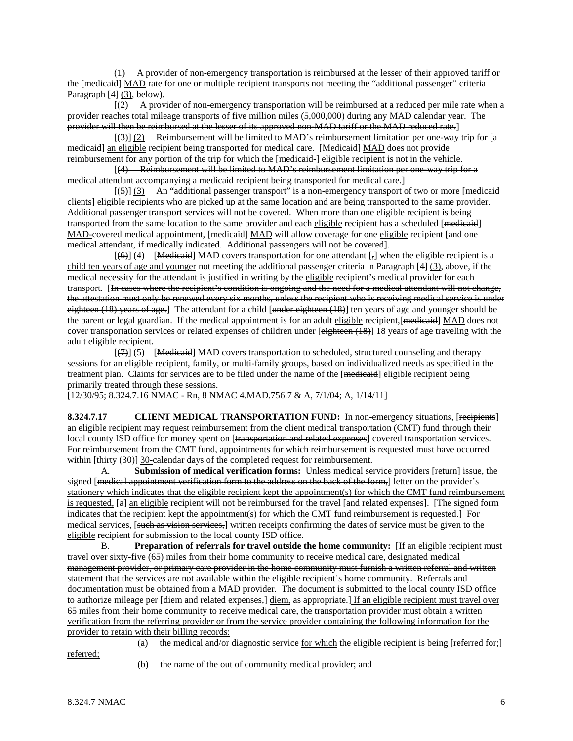(1) A provider of non-emergency transportation is reimbursed at the lesser of their approved tariff or the [medicaid] MAD rate for one or multiple recipient transports not meeting the "additional passenger" criteria Paragraph [4<del>]</del> (3), below).

 $(2)$  A provider of non-emergency transportation will be reimbursed at a reduced per mile rate when a provider reaches total mileage transports of five million miles (5,000,000) during any MAD calendar year. The provider will then be reimbursed at the lesser of its approved non-MAD tariff or the MAD reduced rate.]

 $[3]$  (2) Reimbursement will be limited to MAD's reimbursement limitation per one-way trip for [a medicaid] an eligible recipient being transported for medical care. [Medicaid] MAD does not provide reimbursement for any portion of the trip for which the [medicaid-] eligible recipient is not in the vehicle.

 [(4) Reimbursement will be limited to MAD's reimbursement limitation per one-way trip for a medical attendant accompanying a medicaid recipient being transported for medical care.]

 $[45]$  (3) An "additional passenger transport" is a non-emergency transport of two or more [medicaid] clients] eligible recipients who are picked up at the same location and are being transported to the same provider. Additional passenger transport services will not be covered. When more than one eligible recipient is being transported from the same location to the same provider and each eligible recipient has a scheduled [medicaid] MAD-covered medical appointment, [<del>medicaid</del>] MAD will allow coverage for one eligible recipient [and one medical attendant, if medically indicated. Additional passengers will not be covered].

 $[$ (6)]  $[4]$  [Medicaid] MAD covers transportation for one attendant [ $_7$ ] when the eligible recipient is a child ten years of age and younger not meeting the additional passenger criteria in Paragraph [4] (3), above, if the medical necessity for the attendant is justified in writing by the eligible recipient's medical provider for each transport. [In cases where the recipient's condition is ongoing and the need for a medical attendant will not change, the attestation must only be renewed every six months, unless the recipient who is receiving medical service is under eighteen  $(18)$  years of age.] The attendant for a child [under eighteen  $(18)$ ] ten years of age and younger should be the parent or legal guardian. If the medical appointment is for an adult eligible recipient, [medicaid] MAD does not cover transportation services or related expenses of children under [eighteen (18)] 18 years of age traveling with the adult eligible recipient.

 $[\langle 7 \rangle]$  (5) [Medicaid] MAD covers transportation to scheduled, structured counseling and therapy sessions for an eligible recipient, family, or multi-family groups, based on individualized needs as specified in the treatment plan. Claims for services are to be filed under the name of the [medicaid] eligible recipient being primarily treated through these sessions.

[12/30/95; 8.324.7.16 NMAC - Rn, 8 NMAC 4.MAD.756.7 & A, 7/1/04; A, 1/14/11]

**8.324.7.17 CLIENT MEDICAL TRANSPORTATION FUND:** In non-emergency situations, [recipients] an eligible recipient may request reimbursement from the client medical transportation (CMT) fund through their local county ISD office for money spent on [transportation and related expenses] covered transportation services. For reimbursement from the CMT fund, appointments for which reimbursement is requested must have occurred within [thirty (30)] 30-calendar days of the completed request for reimbursement.

A. **Submission of medical verification forms:** Unless medical service providers [return] issue, the signed [<del>medical appointment verification form to the address on the back of the form,</del>] letter on the provider's stationery which indicates that the eligible recipient kept the appointment(s) for which the CMT fund reimbursement is requested, [a] an eligible recipient will not be reimbursed for the travel [and related expenses]. [The signed form indicates that the recipient kept the appointment(s) for which the CMT fund reimbursement is requested.] For medical services, [such as vision services,] written receipts confirming the dates of service must be given to the eligible recipient for submission to the local county ISD office.

B. **Preparation of referrals for travel outside the home community:**  $\overline{H}$  an eligible recipient must travel over sixty-five (65) miles from their home community to receive medical care, designated medical management provider, or primary care provider in the home community must furnish a written referral and written statement that the services are not available within the eligible recipient's home community. Referrals and documentation must be obtained from a MAD provider. The document is submitted to the local county ISD office t<del>o authorize mileage per [diem and related expenses,] <u>diem,</u> as appropriate</del>.] <u>If an eligible recipient must travel over</u> 65 miles from their home community to receive medical care, the transportation provider must obtain a written verification from the referring provider or from the service provider containing the following information for the provider to retain with their billing records:

referred;

(a) the medical and/or diagnostic service <u>for which</u> the eligible recipient is being [referred for;]

(b) the name of the out of community medical provider; and